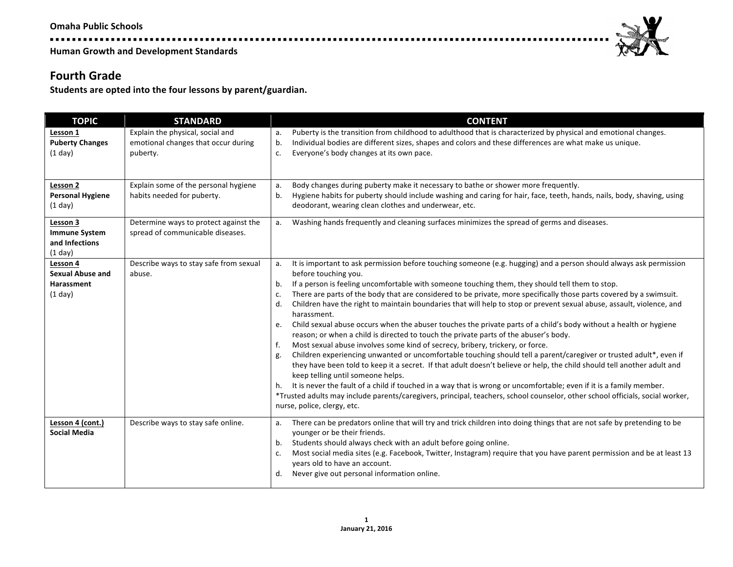------------------

**Human Growth and Development Standards** 

### **Fourth Grade**

Students are opted into the four lessons by parent/guardian.

| <b>TOPIC</b>                                                       | <b>STANDARD</b>                                                                     | <b>CONTENT</b>                                                                                                                                                                                                                                                                                                                                                                                                                                                                                                                                                                                                                                                                                                                                                                                                                                                                                                                                                                                                                                                                                                                                                                                                                                                                                                                                                                                                                          |
|--------------------------------------------------------------------|-------------------------------------------------------------------------------------|-----------------------------------------------------------------------------------------------------------------------------------------------------------------------------------------------------------------------------------------------------------------------------------------------------------------------------------------------------------------------------------------------------------------------------------------------------------------------------------------------------------------------------------------------------------------------------------------------------------------------------------------------------------------------------------------------------------------------------------------------------------------------------------------------------------------------------------------------------------------------------------------------------------------------------------------------------------------------------------------------------------------------------------------------------------------------------------------------------------------------------------------------------------------------------------------------------------------------------------------------------------------------------------------------------------------------------------------------------------------------------------------------------------------------------------------|
| Lesson 1<br><b>Puberty Changes</b><br>$(1$ day)                    | Explain the physical, social and<br>emotional changes that occur during<br>puberty. | Puberty is the transition from childhood to adulthood that is characterized by physical and emotional changes.<br>a.<br>Individual bodies are different sizes, shapes and colors and these differences are what make us unique.<br>b.<br>Everyone's body changes at its own pace.<br>c.                                                                                                                                                                                                                                                                                                                                                                                                                                                                                                                                                                                                                                                                                                                                                                                                                                                                                                                                                                                                                                                                                                                                                 |
| Lesson 2<br><b>Personal Hygiene</b><br>$(1$ day)                   | Explain some of the personal hygiene<br>habits needed for puberty.                  | Body changes during puberty make it necessary to bathe or shower more frequently.<br>а.<br>Hygiene habits for puberty should include washing and caring for hair, face, teeth, hands, nails, body, shaving, using<br>b.<br>deodorant, wearing clean clothes and underwear, etc.                                                                                                                                                                                                                                                                                                                                                                                                                                                                                                                                                                                                                                                                                                                                                                                                                                                                                                                                                                                                                                                                                                                                                         |
| Lesson 3<br><b>Immune System</b><br>and Infections<br>$(1$ day $)$ | Determine ways to protect against the<br>spread of communicable diseases.           | Washing hands frequently and cleaning surfaces minimizes the spread of germs and diseases.<br>a.                                                                                                                                                                                                                                                                                                                                                                                                                                                                                                                                                                                                                                                                                                                                                                                                                                                                                                                                                                                                                                                                                                                                                                                                                                                                                                                                        |
| Lesson 4<br><b>Sexual Abuse and</b><br>Harassment<br>(1 day)       | Describe ways to stay safe from sexual<br>abuse.                                    | It is important to ask permission before touching someone (e.g. hugging) and a person should always ask permission<br>a.<br>before touching you.<br>If a person is feeling uncomfortable with someone touching them, they should tell them to stop.<br>b.<br>There are parts of the body that are considered to be private, more specifically those parts covered by a swimsuit.<br>c.<br>Children have the right to maintain boundaries that will help to stop or prevent sexual abuse, assault, violence, and<br>d.<br>harassment.<br>Child sexual abuse occurs when the abuser touches the private parts of a child's body without a health or hygiene<br>e.<br>reason; or when a child is directed to touch the private parts of the abuser's body.<br>Most sexual abuse involves some kind of secrecy, bribery, trickery, or force.<br>f.<br>Children experiencing unwanted or uncomfortable touching should tell a parent/caregiver or trusted adult*, even if<br>g.<br>they have been told to keep it a secret. If that adult doesn't believe or help, the child should tell another adult and<br>keep telling until someone helps.<br>It is never the fault of a child if touched in a way that is wrong or uncomfortable; even if it is a family member.<br>h.<br>*Trusted adults may include parents/caregivers, principal, teachers, school counselor, other school officials, social worker,<br>nurse, police, clergy, etc. |
| Lesson 4 (cont.)<br><b>Social Media</b>                            | Describe ways to stay safe online.                                                  | There can be predators online that will try and trick children into doing things that are not safe by pretending to be<br>a.<br>younger or be their friends.<br>Students should always check with an adult before going online.<br>b.<br>Most social media sites (e.g. Facebook, Twitter, Instagram) require that you have parent permission and be at least 13<br>c.<br>years old to have an account.<br>Never give out personal information online.<br>d.                                                                                                                                                                                                                                                                                                                                                                                                                                                                                                                                                                                                                                                                                                                                                                                                                                                                                                                                                                             |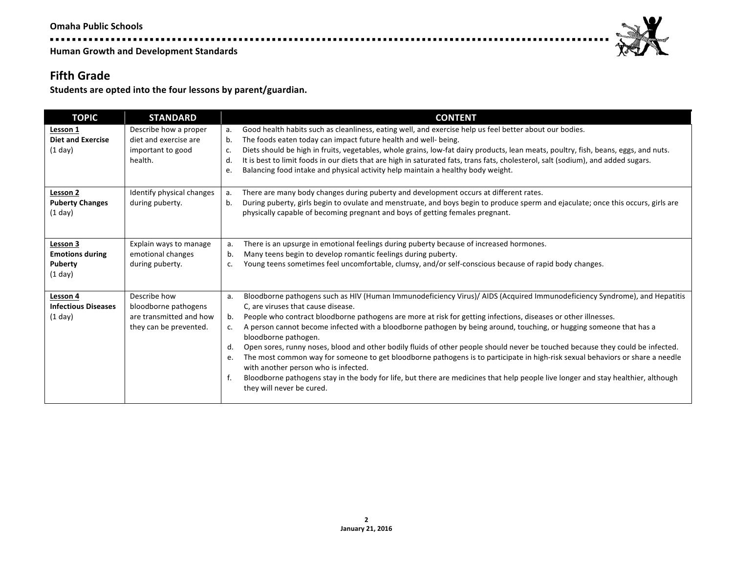. . . . . . . . . . . . . . .

**Human Growth and Development Standards** 

#### **Fifth Grade**

Students are opted into the four lessons by parent/guardian.

. . . . .

| <b>TOPIC</b>                                                          | <b>STANDARD</b>                                                                           | <b>CONTENT</b>                                                                                                                                                                                                                                                                                                                                                                                                                                                                                                                                                                                                                                                                                                                                                                                                                                                                                                                                    |
|-----------------------------------------------------------------------|-------------------------------------------------------------------------------------------|---------------------------------------------------------------------------------------------------------------------------------------------------------------------------------------------------------------------------------------------------------------------------------------------------------------------------------------------------------------------------------------------------------------------------------------------------------------------------------------------------------------------------------------------------------------------------------------------------------------------------------------------------------------------------------------------------------------------------------------------------------------------------------------------------------------------------------------------------------------------------------------------------------------------------------------------------|
| Lesson 1<br><b>Diet and Exercise</b><br>$(1$ day)                     | Describe how a proper<br>diet and exercise are<br>important to good<br>health.            | Good health habits such as cleanliness, eating well, and exercise help us feel better about our bodies.<br>а.<br>The foods eaten today can impact future health and well- being.<br>b.<br>Diets should be high in fruits, vegetables, whole grains, low-fat dairy products, lean meats, poultry, fish, beans, eggs, and nuts.<br>c.<br>d.<br>It is best to limit foods in our diets that are high in saturated fats, trans fats, cholesterol, salt (sodium), and added sugars.<br>Balancing food intake and physical activity help maintain a healthy body weight.<br>e.                                                                                                                                                                                                                                                                                                                                                                          |
| Lesson 2<br><b>Puberty Changes</b><br>$(1$ day)                       | Identify physical changes<br>during puberty.                                              | There are many body changes during puberty and development occurs at different rates.<br>a.<br>During puberty, girls begin to ovulate and menstruate, and boys begin to produce sperm and ejaculate; once this occurs, girls are<br>b.<br>physically capable of becoming pregnant and boys of getting females pregnant.                                                                                                                                                                                                                                                                                                                                                                                                                                                                                                                                                                                                                           |
| Lesson <sub>3</sub><br><b>Emotions during</b><br>Puberty<br>$(1$ day) | Explain ways to manage<br>emotional changes<br>during puberty.                            | There is an upsurge in emotional feelings during puberty because of increased hormones.<br>a.<br>Many teens begin to develop romantic feelings during puberty.<br>b.<br>Young teens sometimes feel uncomfortable, clumsy, and/or self-conscious because of rapid body changes.<br>c.                                                                                                                                                                                                                                                                                                                                                                                                                                                                                                                                                                                                                                                              |
| Lesson 4<br><b>Infectious Diseases</b><br>$(1$ day)                   | Describe how<br>bloodborne pathogens<br>are transmitted and how<br>they can be prevented. | Bloodborne pathogens such as HIV (Human Immunodeficiency Virus)/ AIDS (Acquired Immunodeficiency Syndrome), and Hepatitis<br>a.<br>C. are viruses that cause disease.<br>People who contract bloodborne pathogens are more at risk for getting infections, diseases or other illnesses.<br>b.<br>A person cannot become infected with a bloodborne pathogen by being around, touching, or hugging someone that has a<br>c.<br>bloodborne pathogen.<br>Open sores, runny noses, blood and other bodily fluids of other people should never be touched because they could be infected.<br>d.<br>The most common way for someone to get bloodborne pathogens is to participate in high-risk sexual behaviors or share a needle<br>e.<br>with another person who is infected.<br>f.<br>Bloodborne pathogens stay in the body for life, but there are medicines that help people live longer and stay healthier, although<br>they will never be cured. |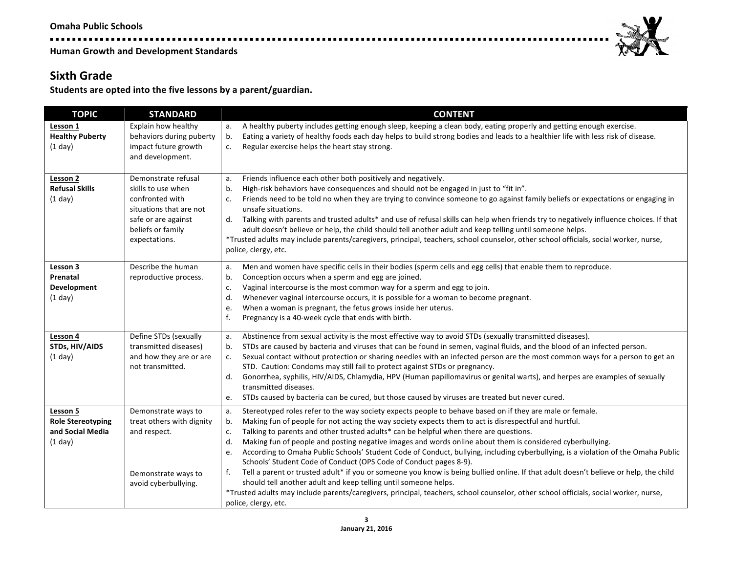-----------------

**Human Growth and Development Standards** 

### **Sixth Grade**

Students are opted into the five lessons by a parent/guardian.

| <b>TOPIC</b>                                                        | <b>STANDARD</b>                                                                                                                                      | <b>CONTENT</b>                                                                                                                                                                                                                                                                                                                                                                                                                                                                                                                                                                                                                                                                                                                                                                                                                                                                                                                                                                                                                                   |
|---------------------------------------------------------------------|------------------------------------------------------------------------------------------------------------------------------------------------------|--------------------------------------------------------------------------------------------------------------------------------------------------------------------------------------------------------------------------------------------------------------------------------------------------------------------------------------------------------------------------------------------------------------------------------------------------------------------------------------------------------------------------------------------------------------------------------------------------------------------------------------------------------------------------------------------------------------------------------------------------------------------------------------------------------------------------------------------------------------------------------------------------------------------------------------------------------------------------------------------------------------------------------------------------|
| Lesson 1<br><b>Healthy Puberty</b><br>(1 day)                       | Explain how healthy<br>behaviors during puberty<br>impact future growth<br>and development.                                                          | A healthy puberty includes getting enough sleep, keeping a clean body, eating properly and getting enough exercise.<br>а.<br>Eating a variety of healthy foods each day helps to build strong bodies and leads to a healthier life with less risk of disease.<br>b.<br>Regular exercise helps the heart stay strong.<br>c.                                                                                                                                                                                                                                                                                                                                                                                                                                                                                                                                                                                                                                                                                                                       |
| Lesson 2<br><b>Refusal Skills</b><br>(1 day)                        | Demonstrate refusal<br>skills to use when<br>confronted with<br>situations that are not<br>safe or are against<br>beliefs or family<br>expectations. | Friends influence each other both positively and negatively.<br>a.<br>b.<br>High-risk behaviors have consequences and should not be engaged in just to "fit in".<br>Friends need to be told no when they are trying to convince someone to go against family beliefs or expectations or engaging in<br>c.<br>unsafe situations.<br>d. Talking with parents and trusted adults* and use of refusal skills can help when friends try to negatively influence choices. If that<br>adult doesn't believe or help, the child should tell another adult and keep telling until someone helps.<br>*Trusted adults may include parents/caregivers, principal, teachers, school counselor, other school officials, social worker, nurse,<br>police, clergy, etc.                                                                                                                                                                                                                                                                                          |
| Lesson 3<br>Prenatal<br>Development<br>(1 day)                      | Describe the human<br>reproductive process.                                                                                                          | Men and women have specific cells in their bodies (sperm cells and egg cells) that enable them to reproduce.<br>a.<br>b.<br>Conception occurs when a sperm and egg are joined.<br>Vaginal intercourse is the most common way for a sperm and egg to join.<br>c.<br>d.<br>Whenever vaginal intercourse occurs, it is possible for a woman to become pregnant.<br>When a woman is pregnant, the fetus grows inside her uterus.<br>e.<br>f.<br>Pregnancy is a 40-week cycle that ends with birth.                                                                                                                                                                                                                                                                                                                                                                                                                                                                                                                                                   |
| Lesson 4<br><b>STDs, HIV/AIDS</b><br>(1 day)                        | Define STDs (sexually<br>transmitted diseases)<br>and how they are or are<br>not transmitted.                                                        | Abstinence from sexual activity is the most effective way to avoid STDs (sexually transmitted diseases).<br>a.<br>STDs are caused by bacteria and viruses that can be found in semen, vaginal fluids, and the blood of an infected person.<br>b.<br>Sexual contact without protection or sharing needles with an infected person are the most common ways for a person to get an<br>c.<br>STD. Caution: Condoms may still fail to protect against STDs or pregnancy.<br>Gonorrhea, syphilis, HIV/AIDS, Chlamydia, HPV (Human papillomavirus or genital warts), and herpes are examples of sexually<br>d.<br>transmitted diseases.<br>STDs caused by bacteria can be cured, but those caused by viruses are treated but never cured.<br>e.                                                                                                                                                                                                                                                                                                        |
| Lesson 5<br><b>Role Stereotyping</b><br>and Social Media<br>(1 day) | Demonstrate ways to<br>treat others with dignity<br>and respect.<br>Demonstrate ways to<br>avoid cyberbullying.                                      | Stereotyped roles refer to the way society expects people to behave based on if they are male or female.<br>а.<br>Making fun of people for not acting the way society expects them to act is disrespectful and hurtful.<br>b.<br>Talking to parents and other trusted adults* can be helpful when there are questions.<br>c.<br>d.<br>Making fun of people and posting negative images and words online about them is considered cyberbullying.<br>According to Omaha Public Schools' Student Code of Conduct, bullying, including cyberbullying, is a violation of the Omaha Public<br>e.<br>Schools' Student Code of Conduct (OPS Code of Conduct pages 8-9).<br>Tell a parent or trusted adult* if you or someone you know is being bullied online. If that adult doesn't believe or help, the child<br>f.<br>should tell another adult and keep telling until someone helps.<br>*Trusted adults may include parents/caregivers, principal, teachers, school counselor, other school officials, social worker, nurse,<br>police, clergy, etc. |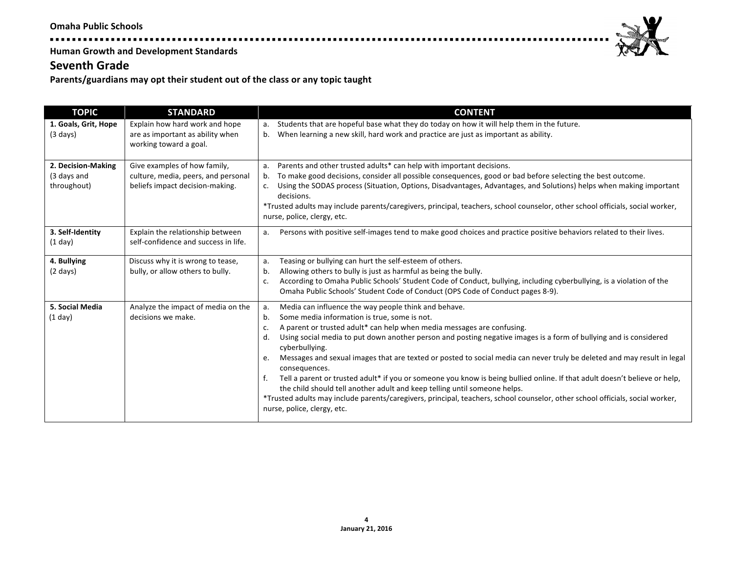#### **Seventh Grade**

Parents/guardians may opt their student out of the class or any topic taught

. . . . .

| <b>TOPIC</b>                                     | <b>STANDARD</b>                                                                                        | <b>CONTENT</b>                                                                                                                                                                                                                                                                                                                                                                                                                                                                                                                                                                                                                                                                                                                                                                                                                                                                   |
|--------------------------------------------------|--------------------------------------------------------------------------------------------------------|----------------------------------------------------------------------------------------------------------------------------------------------------------------------------------------------------------------------------------------------------------------------------------------------------------------------------------------------------------------------------------------------------------------------------------------------------------------------------------------------------------------------------------------------------------------------------------------------------------------------------------------------------------------------------------------------------------------------------------------------------------------------------------------------------------------------------------------------------------------------------------|
| 1. Goals, Grit, Hope<br>$(3 \text{ days})$       | Explain how hard work and hope<br>are as important as ability when<br>working toward a goal.           | Students that are hopeful base what they do today on how it will help them in the future.<br>a.<br>When learning a new skill, hard work and practice are just as important as ability.<br>$b_{1}$                                                                                                                                                                                                                                                                                                                                                                                                                                                                                                                                                                                                                                                                                |
| 2. Decision-Making<br>(3 days and<br>throughout) | Give examples of how family,<br>culture, media, peers, and personal<br>beliefs impact decision-making. | Parents and other trusted adults* can help with important decisions.<br>a.<br>To make good decisions, consider all possible consequences, good or bad before selecting the best outcome.<br>b.<br>Using the SODAS process (Situation, Options, Disadvantages, Advantages, and Solutions) helps when making important<br>c.<br>decisions.<br>*Trusted adults may include parents/caregivers, principal, teachers, school counselor, other school officials, social worker,<br>nurse, police, clergy, etc.                                                                                                                                                                                                                                                                                                                                                                         |
| 3. Self-Identity<br>$(1$ day)                    | Explain the relationship between<br>self-confidence and success in life.                               | Persons with positive self-images tend to make good choices and practice positive behaviors related to their lives.<br>a.                                                                                                                                                                                                                                                                                                                                                                                                                                                                                                                                                                                                                                                                                                                                                        |
| 4. Bullying<br>$(2 \text{ days})$                | Discuss why it is wrong to tease,<br>bully, or allow others to bully.                                  | Teasing or bullying can hurt the self-esteem of others.<br>a.<br>Allowing others to bully is just as harmful as being the bully.<br>b.<br>According to Omaha Public Schools' Student Code of Conduct, bullying, including cyberbullying, is a violation of the<br>c.<br>Omaha Public Schools' Student Code of Conduct (OPS Code of Conduct pages 8-9).                                                                                                                                                                                                                                                                                                                                                                                                                                                                                                                           |
| 5. Social Media<br>(1 day)                       | Analyze the impact of media on the<br>decisions we make.                                               | Media can influence the way people think and behave.<br>a.<br>Some media information is true, some is not.<br>b.<br>A parent or trusted adult* can help when media messages are confusing.<br>c.<br>Using social media to put down another person and posting negative images is a form of bullying and is considered<br>d.<br>cyberbullying.<br>Messages and sexual images that are texted or posted to social media can never truly be deleted and may result in legal<br>e.<br>consequences.<br>Tell a parent or trusted adult* if you or someone you know is being bullied online. If that adult doesn't believe or help,<br>f.<br>the child should tell another adult and keep telling until someone helps.<br>*Trusted adults may include parents/caregivers, principal, teachers, school counselor, other school officials, social worker,<br>nurse, police, clergy, etc. |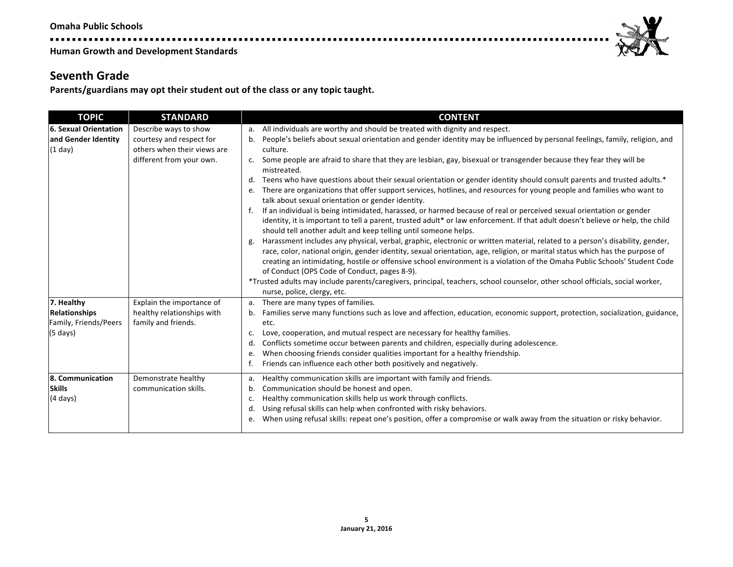**\*\*\*\*\*\*\*\*\*\*\*\*\*\*\*\*\*** 

**Human Growth and Development Standards** 

#### **Seventh Grade**

Parents/guardians may opt their student out of the class or any topic taught.

| <b>TOPIC</b>          | <b>STANDARD</b>             | <b>CONTENT</b>                                                                                                                                                                                     |
|-----------------------|-----------------------------|----------------------------------------------------------------------------------------------------------------------------------------------------------------------------------------------------|
| 6. Sexual Orientation | Describe ways to show       | All individuals are worthy and should be treated with dignity and respect.<br>a.                                                                                                                   |
| and Gender Identity   | courtesy and respect for    | People's beliefs about sexual orientation and gender identity may be influenced by personal feelings, family, religion, and<br>b.                                                                  |
| $(1$ day)             | others when their views are | culture.                                                                                                                                                                                           |
|                       | different from your own.    | c. Some people are afraid to share that they are lesbian, gay, bisexual or transgender because they fear they will be                                                                              |
|                       |                             | mistreated.                                                                                                                                                                                        |
|                       |                             | Teens who have questions about their sexual orientation or gender identity should consult parents and trusted adults.*<br>d.                                                                       |
|                       |                             | There are organizations that offer support services, hotlines, and resources for young people and families who want to<br>e.<br>talk about sexual orientation or gender identity.                  |
|                       |                             | If an individual is being intimidated, harassed, or harmed because of real or perceived sexual orientation or gender<br>f.                                                                         |
|                       |                             | identity, it is important to tell a parent, trusted adult* or law enforcement. If that adult doesn't believe or help, the child<br>should tell another adult and keep telling until someone helps. |
|                       |                             | Harassment includes any physical, verbal, graphic, electronic or written material, related to a person's disability, gender,<br>g.                                                                 |
|                       |                             | race, color, national origin, gender identity, sexual orientation, age, religion, or marital status which has the purpose of                                                                       |
|                       |                             | creating an intimidating, hostile or offensive school environment is a violation of the Omaha Public Schools' Student Code                                                                         |
|                       |                             | of Conduct (OPS Code of Conduct, pages 8-9).                                                                                                                                                       |
|                       |                             | *Trusted adults may include parents/caregivers, principal, teachers, school counselor, other school officials, social worker,                                                                      |
|                       |                             | nurse, police, clergy, etc.                                                                                                                                                                        |
| 7. Healthy            | Explain the importance of   | a. There are many types of families.                                                                                                                                                               |
| <b>Relationships</b>  | healthy relationships with  | Families serve many functions such as love and affection, education, economic support, protection, socialization, guidance,<br>b.                                                                  |
| Family, Friends/Peers | family and friends.         | etc.                                                                                                                                                                                               |
| (5 days)              |                             | Love, cooperation, and mutual respect are necessary for healthy families.<br>c.                                                                                                                    |
|                       |                             | Conflicts sometime occur between parents and children, especially during adolescence.<br>d.                                                                                                        |
|                       |                             | When choosing friends consider qualities important for a healthy friendship.<br>e.                                                                                                                 |
|                       |                             | Friends can influence each other both positively and negatively.<br>f.                                                                                                                             |
| 8. Communication      | Demonstrate healthy         | Healthy communication skills are important with family and friends.<br>a.                                                                                                                          |
| <b>Skills</b>         | communication skills.       | Communication should be honest and open.<br>b.                                                                                                                                                     |
| $(4 \text{ days})$    |                             | Healthy communication skills help us work through conflicts.<br>c.                                                                                                                                 |
|                       |                             | Using refusal skills can help when confronted with risky behaviors.<br>d.                                                                                                                          |
|                       |                             | When using refusal skills: repeat one's position, offer a compromise or walk away from the situation or risky behavior.<br>e.                                                                      |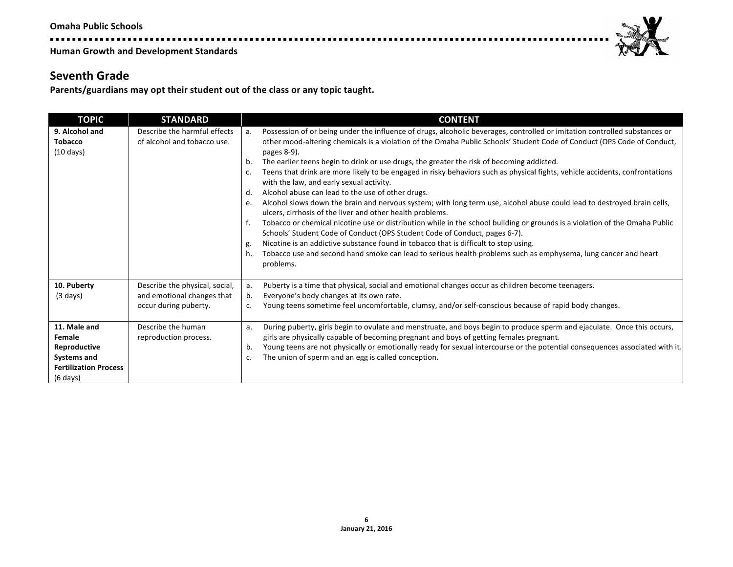. . . . . . . . . . . . . . .

**Human Growth and Development Standards** 

# **Seventh Grade**

Parents/guardians may opt their student out of the class or any topic taught.

| <b>TOPIC</b>                                                                                                       | <b>STANDARD</b>                                                                       | <b>CONTENT</b>                                                                                                                                                                                                                                                                                                                                                                                                                                                                                                                                                                                                                                                                                                                                                                                                                                                                                                                                                                                                                                                                                                                                                                                                                                                                 |
|--------------------------------------------------------------------------------------------------------------------|---------------------------------------------------------------------------------------|--------------------------------------------------------------------------------------------------------------------------------------------------------------------------------------------------------------------------------------------------------------------------------------------------------------------------------------------------------------------------------------------------------------------------------------------------------------------------------------------------------------------------------------------------------------------------------------------------------------------------------------------------------------------------------------------------------------------------------------------------------------------------------------------------------------------------------------------------------------------------------------------------------------------------------------------------------------------------------------------------------------------------------------------------------------------------------------------------------------------------------------------------------------------------------------------------------------------------------------------------------------------------------|
| 9. Alcohol and<br><b>Tobacco</b><br>$(10 \text{ days})$                                                            | Describe the harmful effects<br>of alcohol and tobacco use.                           | Possession of or being under the influence of drugs, alcoholic beverages, controlled or imitation controlled substances or<br>a.<br>other mood-altering chemicals is a violation of the Omaha Public Schools' Student Code of Conduct (OPS Code of Conduct,<br>pages 8-9).<br>The earlier teens begin to drink or use drugs, the greater the risk of becoming addicted.<br>b.<br>Teens that drink are more likely to be engaged in risky behaviors such as physical fights, vehicle accidents, confrontations<br>c.<br>with the law, and early sexual activity.<br>Alcohol abuse can lead to the use of other drugs.<br>d.<br>Alcohol slows down the brain and nervous system; with long term use, alcohol abuse could lead to destroyed brain cells,<br>e.<br>ulcers, cirrhosis of the liver and other health problems.<br>f.<br>Tobacco or chemical nicotine use or distribution while in the school building or grounds is a violation of the Omaha Public<br>Schools' Student Code of Conduct (OPS Student Code of Conduct, pages 6-7).<br>Nicotine is an addictive substance found in tobacco that is difficult to stop using.<br>g.<br>Tobacco use and second hand smoke can lead to serious health problems such as emphysema, lung cancer and heart<br>h.<br>problems. |
| 10. Puberty<br>$(3 \text{ days})$                                                                                  | Describe the physical, social,<br>and emotional changes that<br>occur during puberty. | Puberty is a time that physical, social and emotional changes occur as children become teenagers.<br>a.<br>Everyone's body changes at its own rate.<br>b.<br>Young teens sometime feel uncomfortable, clumsy, and/or self-conscious because of rapid body changes.<br>c.                                                                                                                                                                                                                                                                                                                                                                                                                                                                                                                                                                                                                                                                                                                                                                                                                                                                                                                                                                                                       |
| 11. Male and<br>Female<br>Reproductive<br><b>Systems and</b><br><b>Fertilization Process</b><br>$(6 \text{ days})$ | Describe the human<br>reproduction process.                                           | During puberty, girls begin to ovulate and menstruate, and boys begin to produce sperm and ejaculate. Once this occurs,<br>a.<br>girls are physically capable of becoming pregnant and boys of getting females pregnant.<br>Young teens are not physically or emotionally ready for sexual intercourse or the potential consequences associated with it.<br>b.<br>The union of sperm and an egg is called conception.<br>c.                                                                                                                                                                                                                                                                                                                                                                                                                                                                                                                                                                                                                                                                                                                                                                                                                                                    |

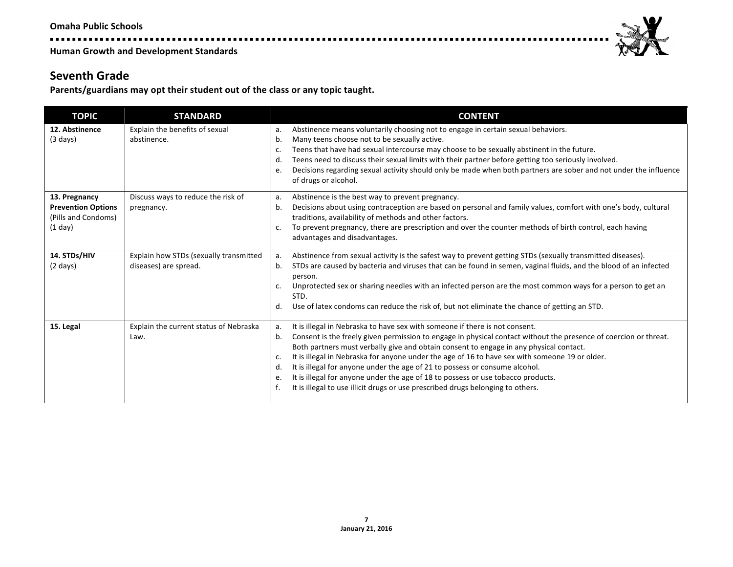. . . . . . . . . . . . . . . .

**Human Growth and Development Standards** 

### **Seventh Grade**

Parents/guardians may opt their student out of the class or any topic taught.

----

| <b>TOPIC</b>                                                                 | <b>STANDARD</b>                                                 | <b>CONTENT</b>                                                                                                                                                                                                                                                                                                                                                                                                                                                                                                                                                                                                                                                                  |
|------------------------------------------------------------------------------|-----------------------------------------------------------------|---------------------------------------------------------------------------------------------------------------------------------------------------------------------------------------------------------------------------------------------------------------------------------------------------------------------------------------------------------------------------------------------------------------------------------------------------------------------------------------------------------------------------------------------------------------------------------------------------------------------------------------------------------------------------------|
| 12. Abstinence<br>$(3 \text{ days})$                                         | Explain the benefits of sexual<br>abstinence.                   | Abstinence means voluntarily choosing not to engage in certain sexual behaviors.<br>a.<br>Many teens choose not to be sexually active.<br>b.<br>Teens that have had sexual intercourse may choose to be sexually abstinent in the future.<br>c.<br>Teens need to discuss their sexual limits with their partner before getting too seriously involved.<br>d.<br>Decisions regarding sexual activity should only be made when both partners are sober and not under the influence<br>e.<br>of drugs or alcohol.                                                                                                                                                                  |
| 13. Pregnancy<br><b>Prevention Options</b><br>(Pills and Condoms)<br>(1 day) | Discuss ways to reduce the risk of<br>pregnancy.                | Abstinence is the best way to prevent pregnancy.<br>a.<br>Decisions about using contraception are based on personal and family values, comfort with one's body, cultural<br>b.<br>traditions, availability of methods and other factors.<br>To prevent pregnancy, there are prescription and over the counter methods of birth control, each having<br>c.<br>advantages and disadvantages.                                                                                                                                                                                                                                                                                      |
| 14. STDs/HIV<br>$(2 \text{ days})$                                           | Explain how STDs (sexually transmitted<br>diseases) are spread. | Abstinence from sexual activity is the safest way to prevent getting STDs (sexually transmitted diseases).<br>a.<br>STDs are caused by bacteria and viruses that can be found in semen, vaginal fluids, and the blood of an infected<br>b.<br>person.<br>Unprotected sex or sharing needles with an infected person are the most common ways for a person to get an<br>c.<br>STD.<br>Use of latex condoms can reduce the risk of, but not eliminate the chance of getting an STD.<br>d.                                                                                                                                                                                         |
| 15. Legal                                                                    | Explain the current status of Nebraska<br>Law.                  | It is illegal in Nebraska to have sex with someone if there is not consent.<br>a.<br>Consent is the freely given permission to engage in physical contact without the presence of coercion or threat.<br>b.<br>Both partners must verbally give and obtain consent to engage in any physical contact.<br>It is illegal in Nebraska for anyone under the age of 16 to have sex with someone 19 or older.<br>c.<br>It is illegal for anyone under the age of 21 to possess or consume alcohol.<br>d.<br>It is illegal for anyone under the age of 18 to possess or use tobacco products.<br>e.<br>It is illegal to use illicit drugs or use prescribed drugs belonging to others. |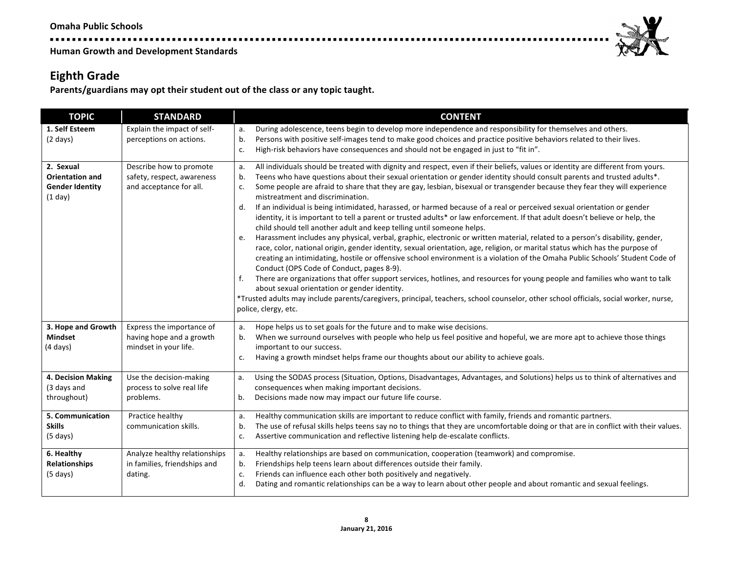--------------**Human Growth and Development Standards** 



# **Eighth Grade**

Parents/guardians may opt their student out of the class or any topic taught.

| <b>TOPIC</b>                                                             | <b>STANDARD</b>                                                                  | <b>CONTENT</b>                                                                                                                                                                                                                                                                                                                                                                                                                                                                                                                                                                                                                                                                                                                                                                                                                                                                                                                                                                                                                                                                                                                                                                                                                                                                                                                                                                                                                                                                                                                                                                                  |
|--------------------------------------------------------------------------|----------------------------------------------------------------------------------|-------------------------------------------------------------------------------------------------------------------------------------------------------------------------------------------------------------------------------------------------------------------------------------------------------------------------------------------------------------------------------------------------------------------------------------------------------------------------------------------------------------------------------------------------------------------------------------------------------------------------------------------------------------------------------------------------------------------------------------------------------------------------------------------------------------------------------------------------------------------------------------------------------------------------------------------------------------------------------------------------------------------------------------------------------------------------------------------------------------------------------------------------------------------------------------------------------------------------------------------------------------------------------------------------------------------------------------------------------------------------------------------------------------------------------------------------------------------------------------------------------------------------------------------------------------------------------------------------|
| 1. Self Esteem<br>$(2 \text{ days})$                                     | Explain the impact of self-<br>perceptions on actions.                           | During adolescence, teens begin to develop more independence and responsibility for themselves and others.<br>a.<br>Persons with positive self-images tend to make good choices and practice positive behaviors related to their lives.<br>b.<br>High-risk behaviors have consequences and should not be engaged in just to "fit in".<br>c.                                                                                                                                                                                                                                                                                                                                                                                                                                                                                                                                                                                                                                                                                                                                                                                                                                                                                                                                                                                                                                                                                                                                                                                                                                                     |
| 2. Sexual<br><b>Orientation and</b><br><b>Gender Identity</b><br>(1 day) | Describe how to promote<br>safety, respect, awareness<br>and acceptance for all. | All individuals should be treated with dignity and respect, even if their beliefs, values or identity are different from yours.<br>a.<br>Teens who have questions about their sexual orientation or gender identity should consult parents and trusted adults*.<br>b.<br>Some people are afraid to share that they are gay, lesbian, bisexual or transgender because they fear they will experience<br>c.<br>mistreatment and discrimination.<br>If an individual is being intimidated, harassed, or harmed because of a real or perceived sexual orientation or gender<br>d.<br>identity, it is important to tell a parent or trusted adults* or law enforcement. If that adult doesn't believe or help, the<br>child should tell another adult and keep telling until someone helps.<br>Harassment includes any physical, verbal, graphic, electronic or written material, related to a person's disability, gender,<br>e.<br>race, color, national origin, gender identity, sexual orientation, age, religion, or marital status which has the purpose of<br>creating an intimidating, hostile or offensive school environment is a violation of the Omaha Public Schools' Student Code of<br>Conduct (OPS Code of Conduct, pages 8-9).<br>There are organizations that offer support services, hotlines, and resources for young people and families who want to talk<br>f.<br>about sexual orientation or gender identity.<br>*Trusted adults may include parents/caregivers, principal, teachers, school counselor, other school officials, social worker, nurse,<br>police, clergy, etc. |
| 3. Hope and Growth<br><b>Mindset</b><br>$(4 \text{ days})$               | Express the importance of<br>having hope and a growth<br>mindset in your life.   | Hope helps us to set goals for the future and to make wise decisions.<br>a.<br>When we surround ourselves with people who help us feel positive and hopeful, we are more apt to achieve those things<br>b.<br>important to our success.<br>Having a growth mindset helps frame our thoughts about our ability to achieve goals.<br>c.                                                                                                                                                                                                                                                                                                                                                                                                                                                                                                                                                                                                                                                                                                                                                                                                                                                                                                                                                                                                                                                                                                                                                                                                                                                           |
| 4. Decision Making<br>(3 days and<br>throughout)                         | Use the decision-making<br>process to solve real life<br>problems.               | Using the SODAS process (Situation, Options, Disadvantages, Advantages, and Solutions) helps us to think of alternatives and<br>a.<br>consequences when making important decisions.<br>Decisions made now may impact our future life course.<br>b.                                                                                                                                                                                                                                                                                                                                                                                                                                                                                                                                                                                                                                                                                                                                                                                                                                                                                                                                                                                                                                                                                                                                                                                                                                                                                                                                              |
| 5. Communication<br><b>Skills</b><br>$(5 \text{ days})$                  | Practice healthy<br>communication skills.                                        | Healthy communication skills are important to reduce conflict with family, friends and romantic partners.<br>a.<br>The use of refusal skills helps teens say no to things that they are uncomfortable doing or that are in conflict with their values.<br>b.<br>Assertive communication and reflective listening help de-escalate conflicts.<br>c.                                                                                                                                                                                                                                                                                                                                                                                                                                                                                                                                                                                                                                                                                                                                                                                                                                                                                                                                                                                                                                                                                                                                                                                                                                              |
| 6. Healthy<br><b>Relationships</b><br>$(5 \text{ days})$                 | Analyze healthy relationships<br>in families, friendships and<br>dating.         | Healthy relationships are based on communication, cooperation (teamwork) and compromise.<br>a.<br>Friendships help teens learn about differences outside their family.<br>b.<br>Friends can influence each other both positively and negatively.<br>c.<br>d.<br>Dating and romantic relationships can be a way to learn about other people and about romantic and sexual feelings.                                                                                                                                                                                                                                                                                                                                                                                                                                                                                                                                                                                                                                                                                                                                                                                                                                                                                                                                                                                                                                                                                                                                                                                                              |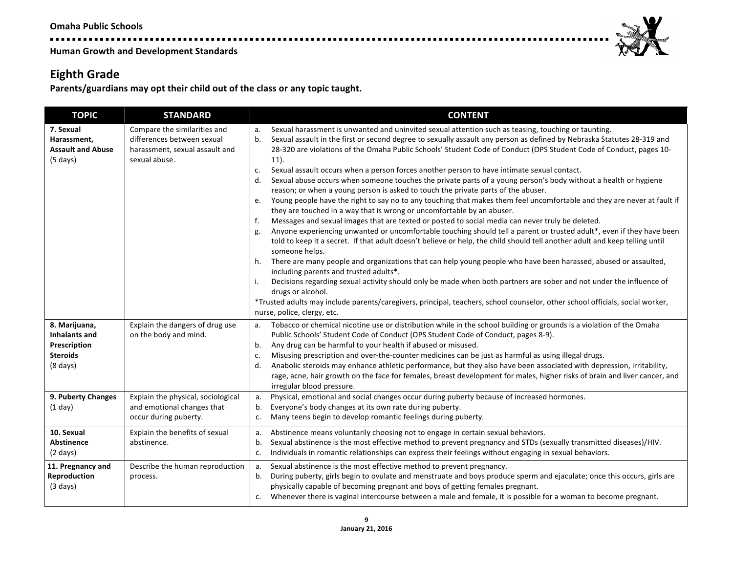# **Eighth Grade**

**\*\*\*\*\*\*\*\*\*\*\*\*\*** 

Parents/guardians may opt their child out of the class or any topic taught.

| <b>TOPIC</b>                                                                            | <b>STANDARD</b>                                                                                               | <b>CONTENT</b>                                                                                                                                                                                                                                                                                                                                                                                                                                                                                                                                                                                                                                                                                                                                                                                                                                                                                                                                                                                                                                                                                                                                                                                                                                                                                                                                                                                                                                                                                                                                                                                                                                                                                                                                                                         |
|-----------------------------------------------------------------------------------------|---------------------------------------------------------------------------------------------------------------|----------------------------------------------------------------------------------------------------------------------------------------------------------------------------------------------------------------------------------------------------------------------------------------------------------------------------------------------------------------------------------------------------------------------------------------------------------------------------------------------------------------------------------------------------------------------------------------------------------------------------------------------------------------------------------------------------------------------------------------------------------------------------------------------------------------------------------------------------------------------------------------------------------------------------------------------------------------------------------------------------------------------------------------------------------------------------------------------------------------------------------------------------------------------------------------------------------------------------------------------------------------------------------------------------------------------------------------------------------------------------------------------------------------------------------------------------------------------------------------------------------------------------------------------------------------------------------------------------------------------------------------------------------------------------------------------------------------------------------------------------------------------------------------|
| 7. Sexual<br>Harassment,<br><b>Assault and Abuse</b><br>$(5 \text{ days})$              | Compare the similarities and<br>differences between sexual<br>harassment, sexual assault and<br>sexual abuse. | Sexual harassment is unwanted and uninvited sexual attention such as teasing, touching or taunting.<br>a.<br>Sexual assault in the first or second degree to sexually assault any person as defined by Nebraska Statutes 28-319 and<br>b.<br>28-320 are violations of the Omaha Public Schools' Student Code of Conduct (OPS Student Code of Conduct, pages 10-<br>$11$ ).<br>Sexual assault occurs when a person forces another person to have intimate sexual contact.<br>c.<br>Sexual abuse occurs when someone touches the private parts of a young person's body without a health or hygiene<br>d.<br>reason; or when a young person is asked to touch the private parts of the abuser.<br>Young people have the right to say no to any touching that makes them feel uncomfortable and they are never at fault if<br>e.<br>they are touched in a way that is wrong or uncomfortable by an abuser.<br>Messages and sexual images that are texted or posted to social media can never truly be deleted.<br>f.<br>Anyone experiencing unwanted or uncomfortable touching should tell a parent or trusted adult*, even if they have been<br>g.<br>told to keep it a secret. If that adult doesn't believe or help, the child should tell another adult and keep telling until<br>someone helps.<br>There are many people and organizations that can help young people who have been harassed, abused or assaulted,<br>h.<br>including parents and trusted adults*.<br>Decisions regarding sexual activity should only be made when both partners are sober and not under the influence of<br>i.<br>drugs or alcohol.<br>*Trusted adults may include parents/caregivers, principal, teachers, school counselor, other school officials, social worker,<br>nurse, police, clergy, etc. |
| 8. Marijuana,<br>Inhalants and<br>Prescription<br><b>Steroids</b><br>$(8 \text{ days})$ | Explain the dangers of drug use<br>on the body and mind.                                                      | Tobacco or chemical nicotine use or distribution while in the school building or grounds is a violation of the Omaha<br>a.<br>Public Schools' Student Code of Conduct (OPS Student Code of Conduct, pages 8-9).<br>Any drug can be harmful to your health if abused or misused.<br>b.<br>Misusing prescription and over-the-counter medicines can be just as harmful as using illegal drugs.<br>c.<br>Anabolic steroids may enhance athletic performance, but they also have been associated with depression, irritability,<br>d.<br>rage, acne, hair growth on the face for females, breast development for males, higher risks of brain and liver cancer, and<br>irregular blood pressure.                                                                                                                                                                                                                                                                                                                                                                                                                                                                                                                                                                                                                                                                                                                                                                                                                                                                                                                                                                                                                                                                                           |
| 9. Puberty Changes<br>(1 day)                                                           | Explain the physical, sociological<br>and emotional changes that<br>occur during puberty.                     | Physical, emotional and social changes occur during puberty because of increased hormones.<br>a.<br>b.<br>Everyone's body changes at its own rate during puberty.<br>Many teens begin to develop romantic feelings during puberty.<br>c.                                                                                                                                                                                                                                                                                                                                                                                                                                                                                                                                                                                                                                                                                                                                                                                                                                                                                                                                                                                                                                                                                                                                                                                                                                                                                                                                                                                                                                                                                                                                               |
| 10. Sexual<br><b>Abstinence</b><br>$(2 \text{ days})$                                   | Explain the benefits of sexual<br>abstinence.                                                                 | Abstinence means voluntarily choosing not to engage in certain sexual behaviors.<br>a.<br>Sexual abstinence is the most effective method to prevent pregnancy and STDs (sexually transmitted diseases)/HIV.<br>b.<br>Individuals in romantic relationships can express their feelings without engaging in sexual behaviors.<br>c.                                                                                                                                                                                                                                                                                                                                                                                                                                                                                                                                                                                                                                                                                                                                                                                                                                                                                                                                                                                                                                                                                                                                                                                                                                                                                                                                                                                                                                                      |
| 11. Pregnancy and<br>Reproduction<br>$(3 \text{ days})$                                 | Describe the human reproduction<br>process.                                                                   | Sexual abstinence is the most effective method to prevent pregnancy.<br>a.<br>During puberty, girls begin to ovulate and menstruate and boys produce sperm and ejaculate; once this occurs, girls are<br>b.<br>physically capable of becoming pregnant and boys of getting females pregnant.<br>Whenever there is vaginal intercourse between a male and female, it is possible for a woman to become pregnant.<br>c.                                                                                                                                                                                                                                                                                                                                                                                                                                                                                                                                                                                                                                                                                                                                                                                                                                                                                                                                                                                                                                                                                                                                                                                                                                                                                                                                                                  |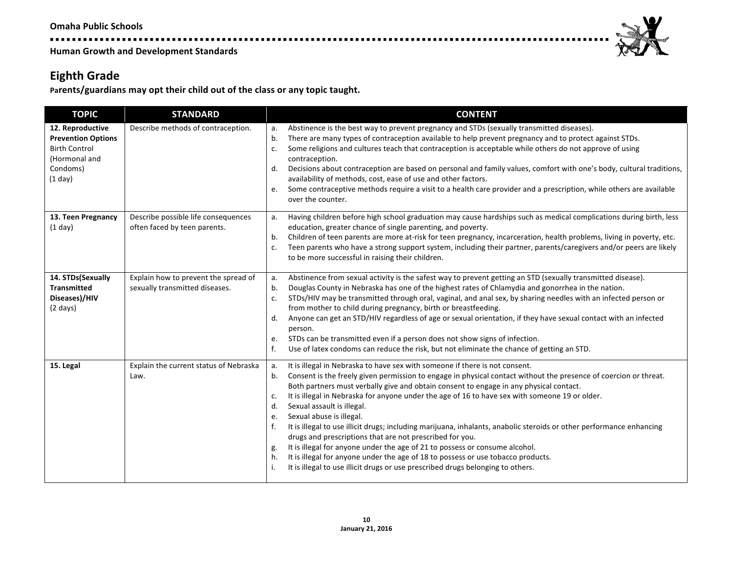-----------------**Human Growth and Development Standards** 



Parents/guardians may opt their child out of the class or any topic taught.

| <b>TOPIC</b>                                                                                                  | <b>STANDARD</b>                                                        | <b>CONTENT</b>                                                                                                                                                                                                                                                                                                                                                                                                                                                                                                                                                                                                                                                                                                                                                                                                                                                                                                                                        |
|---------------------------------------------------------------------------------------------------------------|------------------------------------------------------------------------|-------------------------------------------------------------------------------------------------------------------------------------------------------------------------------------------------------------------------------------------------------------------------------------------------------------------------------------------------------------------------------------------------------------------------------------------------------------------------------------------------------------------------------------------------------------------------------------------------------------------------------------------------------------------------------------------------------------------------------------------------------------------------------------------------------------------------------------------------------------------------------------------------------------------------------------------------------|
| 12. Reproductive<br><b>Prevention Options</b><br><b>Birth Control</b><br>(Hormonal and<br>Condoms)<br>(1 day) | Describe methods of contraception.                                     | Abstinence is the best way to prevent pregnancy and STDs (sexually transmitted diseases).<br>a.<br>There are many types of contraception available to help prevent pregnancy and to protect against STDs.<br>b.<br>Some religions and cultures teach that contraception is acceptable while others do not approve of using<br>c.<br>contraception.<br>Decisions about contraception are based on personal and family values, comfort with one's body, cultural traditions,<br>d.<br>availability of methods, cost, ease of use and other factors.<br>Some contraceptive methods require a visit to a health care provider and a prescription, while others are available<br>e.<br>over the counter.                                                                                                                                                                                                                                                   |
| 13. Teen Pregnancy<br>$(1$ day)                                                                               | Describe possible life consequences<br>often faced by teen parents.    | Having children before high school graduation may cause hardships such as medical complications during birth, less<br>а.<br>education, greater chance of single parenting, and poverty.<br>Children of teen parents are more at-risk for teen pregnancy, incarceration, health problems, living in poverty, etc.<br>b.<br>Teen parents who have a strong support system, including their partner, parents/caregivers and/or peers are likely<br>c.<br>to be more successful in raising their children.                                                                                                                                                                                                                                                                                                                                                                                                                                                |
| 14. STDs(Sexually<br><b>Transmitted</b><br>Diseases)/HIV<br>$(2 \text{ days})$                                | Explain how to prevent the spread of<br>sexually transmitted diseases. | Abstinence from sexual activity is the safest way to prevent getting an STD (sexually transmitted disease).<br>a.<br>Douglas County in Nebraska has one of the highest rates of Chlamydia and gonorrhea in the nation.<br>b.<br>STDs/HIV may be transmitted through oral, vaginal, and anal sex, by sharing needles with an infected person or<br>c.<br>from mother to child during pregnancy, birth or breastfeeding.<br>Anyone can get an STD/HIV regardless of age or sexual orientation, if they have sexual contact with an infected<br>d.<br>person.<br>STDs can be transmitted even if a person does not show signs of infection.<br>e.<br>f.<br>Use of latex condoms can reduce the risk, but not eliminate the chance of getting an STD.                                                                                                                                                                                                     |
| 15. Legal                                                                                                     | Explain the current status of Nebraska<br>Law.                         | It is illegal in Nebraska to have sex with someone if there is not consent.<br>a.<br>Consent is the freely given permission to engage in physical contact without the presence of coercion or threat.<br>b.<br>Both partners must verbally give and obtain consent to engage in any physical contact.<br>It is illegal in Nebraska for anyone under the age of 16 to have sex with someone 19 or older.<br>c.<br>Sexual assault is illegal.<br>d.<br>Sexual abuse is illegal.<br>e.<br>It is illegal to use illicit drugs; including marijuana, inhalants, anabolic steroids or other performance enhancing<br>f.<br>drugs and prescriptions that are not prescribed for you.<br>It is illegal for anyone under the age of 21 to possess or consume alcohol.<br>g.<br>It is illegal for anyone under the age of 18 to possess or use tobacco products.<br>h.<br>It is illegal to use illicit drugs or use prescribed drugs belonging to others.<br>j. |

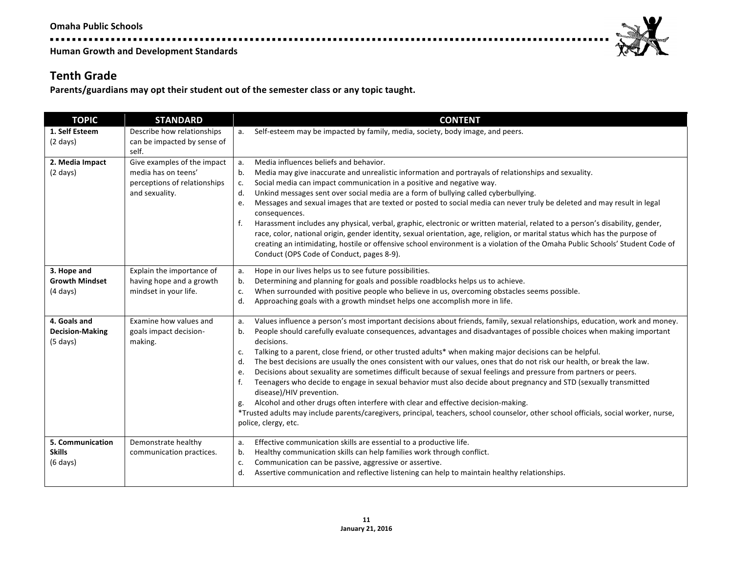.................**.** 

**Human Growth and Development Standards** 

### **Tenth Grade**

Parents/guardians may opt their student out of the semester class or any topic taught.

| <b>TOPIC</b>                                                 | <b>STANDARD</b>                                                                                      | <b>CONTENT</b>                                                                                                                                                                                                                                                                                                                                                                                                                                                                                                                                                                                                                                                                                                                                                                                                                                                                                                                                                                                                                                                                |
|--------------------------------------------------------------|------------------------------------------------------------------------------------------------------|-------------------------------------------------------------------------------------------------------------------------------------------------------------------------------------------------------------------------------------------------------------------------------------------------------------------------------------------------------------------------------------------------------------------------------------------------------------------------------------------------------------------------------------------------------------------------------------------------------------------------------------------------------------------------------------------------------------------------------------------------------------------------------------------------------------------------------------------------------------------------------------------------------------------------------------------------------------------------------------------------------------------------------------------------------------------------------|
| 1. Self Esteem<br>$(2 \text{ days})$                         | Describe how relationships<br>can be impacted by sense of<br>self.                                   | Self-esteem may be impacted by family, media, society, body image, and peers.<br>a.                                                                                                                                                                                                                                                                                                                                                                                                                                                                                                                                                                                                                                                                                                                                                                                                                                                                                                                                                                                           |
| 2. Media Impact<br>$(2 \text{ days})$                        | Give examples of the impact<br>media has on teens'<br>perceptions of relationships<br>and sexuality. | Media influences beliefs and behavior.<br>a.<br>Media may give inaccurate and unrealistic information and portrayals of relationships and sexuality.<br>b.<br>Social media can impact communication in a positive and negative way.<br>c.<br>Unkind messages sent over social media are a form of bullying called cyberbullying.<br>d.<br>Messages and sexual images that are texted or posted to social media can never truly be deleted and may result in legal<br>e.<br>consequences.<br>Harassment includes any physical, verbal, graphic, electronic or written material, related to a person's disability, gender,<br>f.<br>race, color, national origin, gender identity, sexual orientation, age, religion, or marital status which has the purpose of<br>creating an intimidating, hostile or offensive school environment is a violation of the Omaha Public Schools' Student Code of<br>Conduct (OPS Code of Conduct, pages 8-9).                                                                                                                                  |
| 3. Hope and<br><b>Growth Mindset</b><br>$(4 \text{ days})$   | Explain the importance of<br>having hope and a growth<br>mindset in your life.                       | Hope in our lives helps us to see future possibilities.<br>a.<br>Determining and planning for goals and possible roadblocks helps us to achieve.<br>b.<br>When surrounded with positive people who believe in us, overcoming obstacles seems possible.<br>c.<br>Approaching goals with a growth mindset helps one accomplish more in life.<br>d.                                                                                                                                                                                                                                                                                                                                                                                                                                                                                                                                                                                                                                                                                                                              |
| 4. Goals and<br><b>Decision-Making</b><br>$(5 \text{ days})$ | Examine how values and<br>goals impact decision-<br>making.                                          | Values influence a person's most important decisions about friends, family, sexual relationships, education, work and money.<br>a.<br>People should carefully evaluate consequences, advantages and disadvantages of possible choices when making important<br>b.<br>decisions.<br>Talking to a parent, close friend, or other trusted adults* when making major decisions can be helpful.<br>c.<br>The best decisions are usually the ones consistent with our values, ones that do not risk our health, or break the law.<br>d.<br>Decisions about sexuality are sometimes difficult because of sexual feelings and pressure from partners or peers.<br>e.<br>Teenagers who decide to engage in sexual behavior must also decide about pregnancy and STD (sexually transmitted<br>f.<br>disease)/HIV prevention.<br>Alcohol and other drugs often interfere with clear and effective decision-making.<br>g.<br>*Trusted adults may include parents/caregivers, principal, teachers, school counselor, other school officials, social worker, nurse,<br>police, clergy, etc. |
| 5. Communication<br><b>Skills</b><br>$(6 \text{ days})$      | Demonstrate healthy<br>communication practices.                                                      | Effective communication skills are essential to a productive life.<br>a.<br>Healthy communication skills can help families work through conflict.<br>b.<br>Communication can be passive, aggressive or assertive.<br>c.<br>Assertive communication and reflective listening can help to maintain healthy relationships.<br>d.                                                                                                                                                                                                                                                                                                                                                                                                                                                                                                                                                                                                                                                                                                                                                 |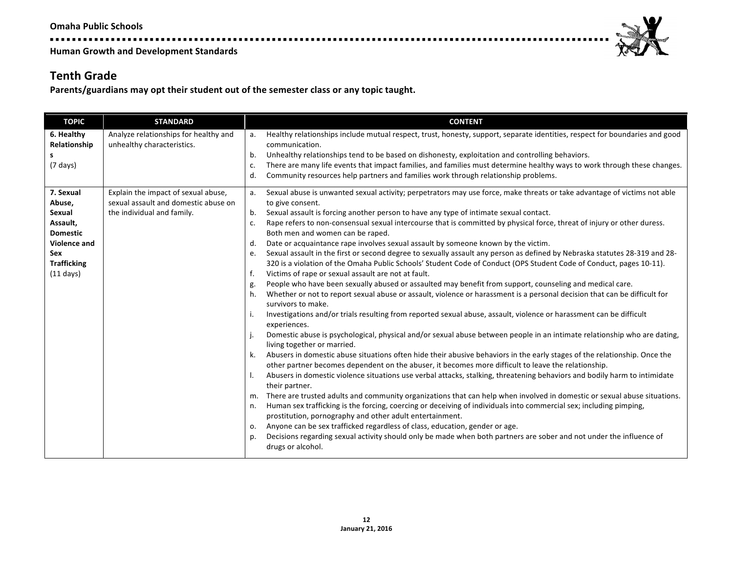.....................

**Human Growth and Development Standards** 

#### **Tenth Grade**

Parents/guardians may opt their student out of the semester class or any topic taught.

. . . . . . .

| <b>TOPIC</b>        | <b>STANDARD</b>                       | <b>CONTENT</b>                                                                                                                                                |
|---------------------|---------------------------------------|---------------------------------------------------------------------------------------------------------------------------------------------------------------|
| 6. Healthy          | Analyze relationships for healthy and | Healthy relationships include mutual respect, trust, honesty, support, separate identities, respect for boundaries and good<br>a.                             |
| Relationship<br>s   | unhealthy characteristics.            | communication.<br>Unhealthy relationships tend to be based on dishonesty, exploitation and controlling behaviors.<br>b.                                       |
| $(7 \text{ days})$  |                                       | There are many life events that impact families, and families must determine healthy ways to work through these changes.<br>c.                                |
|                     |                                       | Community resources help partners and families work through relationship problems.<br>d.                                                                      |
|                     |                                       |                                                                                                                                                               |
| 7. Sexual           | Explain the impact of sexual abuse,   | Sexual abuse is unwanted sexual activity; perpetrators may use force, make threats or take advantage of victims not able<br>a.                                |
| Abuse,              | sexual assault and domestic abuse on  | to give consent.                                                                                                                                              |
| Sexual              | the individual and family.            | b.<br>Sexual assault is forcing another person to have any type of intimate sexual contact.                                                                   |
| Assault,            |                                       | Rape refers to non-consensual sexual intercourse that is committed by physical force, threat of injury or other duress.<br>c.                                 |
| <b>Domestic</b>     |                                       | Both men and women can be raped.                                                                                                                              |
| Violence and        |                                       | Date or acquaintance rape involves sexual assault by someone known by the victim.<br>d.                                                                       |
| Sex                 |                                       | Sexual assault in the first or second degree to sexually assault any person as defined by Nebraska statutes 28-319 and 28-<br>e.                              |
| <b>Trafficking</b>  |                                       | 320 is a violation of the Omaha Public Schools' Student Code of Conduct (OPS Student Code of Conduct, pages 10-11).                                           |
| $(11 \text{ days})$ |                                       | Victims of rape or sexual assault are not at fault.<br>f.                                                                                                     |
|                     |                                       | People who have been sexually abused or assaulted may benefit from support, counseling and medical care.<br>g.                                                |
|                     |                                       | Whether or not to report sexual abuse or assault, violence or harassment is a personal decision that can be difficult for<br>h.<br>survivors to make.         |
|                     |                                       | Investigations and/or trials resulting from reported sexual abuse, assault, violence or harassment can be difficult<br>i.<br>experiences.                     |
|                     |                                       | Domestic abuse is psychological, physical and/or sexual abuse between people in an intimate relationship who are dating,<br>j.<br>living together or married. |
|                     |                                       | Abusers in domestic abuse situations often hide their abusive behaviors in the early stages of the relationship. Once the<br>k.                               |
|                     |                                       | other partner becomes dependent on the abuser, it becomes more difficult to leave the relationship.                                                           |
|                     |                                       | Abusers in domestic violence situations use verbal attacks, stalking, threatening behaviors and bodily harm to intimidate<br>I.                               |
|                     |                                       | their partner.                                                                                                                                                |
|                     |                                       | There are trusted adults and community organizations that can help when involved in domestic or sexual abuse situations.<br>m.                                |
|                     |                                       | Human sex trafficking is the forcing, coercing or deceiving of individuals into commercial sex; including pimping,<br>n.                                      |
|                     |                                       | prostitution, pornography and other adult entertainment.                                                                                                      |
|                     |                                       | Anyone can be sex trafficked regardless of class, education, gender or age.<br>0.                                                                             |
|                     |                                       | Decisions regarding sexual activity should only be made when both partners are sober and not under the influence of<br>p.<br>drugs or alcohol.                |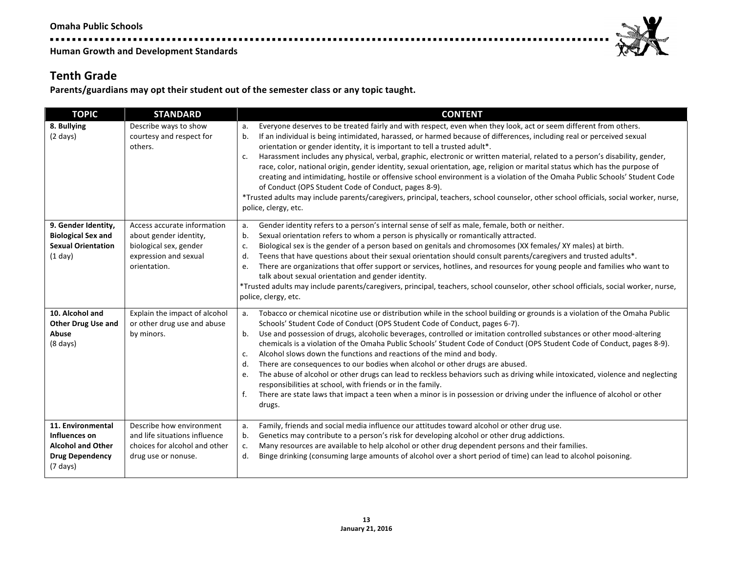### **Tenth Grade**

Parents/guardians may opt their student out of the semester class or any topic taught.

. . . . .

| <b>TOPIC</b>                                                                                                   | <b>STANDARD</b>                                                                                                          | <b>CONTENT</b>                                                                                                                                                                                                                                                                                                                                                                                                                                                                                                                                                                                                                                                                                                                                                                                                                                                                                                                                                                                  |
|----------------------------------------------------------------------------------------------------------------|--------------------------------------------------------------------------------------------------------------------------|-------------------------------------------------------------------------------------------------------------------------------------------------------------------------------------------------------------------------------------------------------------------------------------------------------------------------------------------------------------------------------------------------------------------------------------------------------------------------------------------------------------------------------------------------------------------------------------------------------------------------------------------------------------------------------------------------------------------------------------------------------------------------------------------------------------------------------------------------------------------------------------------------------------------------------------------------------------------------------------------------|
| 8. Bullying<br>$(2 \text{ days})$                                                                              | Describe ways to show<br>courtesy and respect for<br>others.                                                             | Everyone deserves to be treated fairly and with respect, even when they look, act or seem different from others.<br>If an individual is being intimidated, harassed, or harmed because of differences, including real or perceived sexual<br>b.<br>orientation or gender identity, it is important to tell a trusted adult <sup>*</sup> .<br>Harassment includes any physical, verbal, graphic, electronic or written material, related to a person's disability, gender,<br>c.<br>race, color, national origin, gender identity, sexual orientation, age, religion or marital status which has the purpose of<br>creating and intimidating, hostile or offensive school environment is a violation of the Omaha Public Schools' Student Code<br>of Conduct (OPS Student Code of Conduct, pages 8-9).<br>*Trusted adults may include parents/caregivers, principal, teachers, school counselor, other school officials, social worker, nurse,<br>police, clergy, etc.                           |
| 9. Gender Identity,<br><b>Biological Sex and</b><br><b>Sexual Orientation</b><br>(1 day)                       | Access accurate information<br>about gender identity,<br>biological sex, gender<br>expression and sexual<br>orientation. | Gender identity refers to a person's internal sense of self as male, female, both or neither.<br>a.<br>Sexual orientation refers to whom a person is physically or romantically attracted.<br>b.<br>Biological sex is the gender of a person based on genitals and chromosomes (XX females/XY males) at birth.<br>c.<br>Teens that have questions about their sexual orientation should consult parents/caregivers and trusted adults*.<br>d.<br>There are organizations that offer support or services, hotlines, and resources for young people and families who want to<br>e.<br>talk about sexual orientation and gender identity.<br>*Trusted adults may include parents/caregivers, principal, teachers, school counselor, other school officials, social worker, nurse,<br>police, clergy, etc.                                                                                                                                                                                          |
| 10. Alcohol and<br><b>Other Drug Use and</b><br>Abuse<br>$(8 \text{ days})$                                    | Explain the impact of alcohol<br>or other drug use and abuse<br>by minors.                                               | Tobacco or chemical nicotine use or distribution while in the school building or grounds is a violation of the Omaha Public<br>а.<br>Schools' Student Code of Conduct (OPS Student Code of Conduct, pages 6-7).<br>Use and possession of drugs, alcoholic beverages, controlled or imitation controlled substances or other mood-altering<br>b.<br>chemicals is a violation of the Omaha Public Schools' Student Code of Conduct (OPS Student Code of Conduct, pages 8-9).<br>Alcohol slows down the functions and reactions of the mind and body.<br>c.<br>There are consequences to our bodies when alcohol or other drugs are abused.<br>d.<br>The abuse of alcohol or other drugs can lead to reckless behaviors such as driving while intoxicated, violence and neglecting<br>e.<br>responsibilities at school, with friends or in the family.<br>f.<br>There are state laws that impact a teen when a minor is in possession or driving under the influence of alcohol or other<br>drugs. |
| 11. Environmental<br>Influences on<br><b>Alcohol and Other</b><br><b>Drug Dependency</b><br>$(7 \text{ days})$ | Describe how environment<br>and life situations influence<br>choices for alcohol and other<br>drug use or nonuse.        | Family, friends and social media influence our attitudes toward alcohol or other drug use.<br>a.<br>Genetics may contribute to a person's risk for developing alcohol or other drug addictions.<br>b.<br>Many resources are available to help alcohol or other drug dependent persons and their families.<br>c.<br>d.<br>Binge drinking (consuming large amounts of alcohol over a short period of time) can lead to alcohol poisoning.                                                                                                                                                                                                                                                                                                                                                                                                                                                                                                                                                         |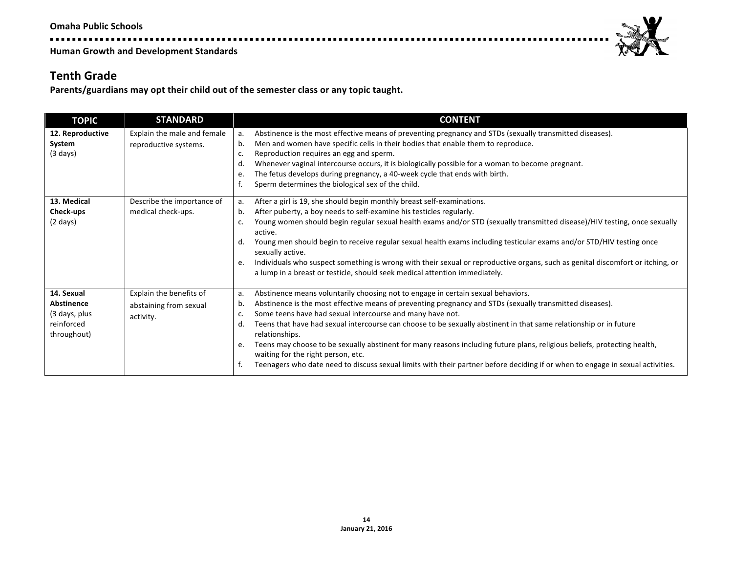. . . . . . . . . . . . . . . .



**Human Growth and Development Standards** 

#### **Tenth Grade**

Parents/guardians may opt their child out of the semester class or any topic taught.

| <b>TOPIC</b>                                                                  | <b>STANDARD</b>                                                | <b>CONTENT</b>                                                                                                                                                                                                                                                                                                                                                                                                                                                                                                                                                                                                                                                                                                                     |
|-------------------------------------------------------------------------------|----------------------------------------------------------------|------------------------------------------------------------------------------------------------------------------------------------------------------------------------------------------------------------------------------------------------------------------------------------------------------------------------------------------------------------------------------------------------------------------------------------------------------------------------------------------------------------------------------------------------------------------------------------------------------------------------------------------------------------------------------------------------------------------------------------|
| 12. Reproductive<br>System<br>$(3 \text{ days})$                              | Explain the male and female<br>reproductive systems.           | Abstinence is the most effective means of preventing pregnancy and STDs (sexually transmitted diseases).<br>а.<br>Men and women have specific cells in their bodies that enable them to reproduce.<br>b.<br>Reproduction requires an egg and sperm.<br>c.<br>Whenever vaginal intercourse occurs, it is biologically possible for a woman to become pregnant.<br>d.<br>The fetus develops during pregnancy, a 40-week cycle that ends with birth.<br>e.<br>Sperm determines the biological sex of the child.                                                                                                                                                                                                                       |
| 13. Medical<br>Check-ups<br>$(2 \text{ days})$                                | Describe the importance of<br>medical check-ups.               | After a girl is 19, she should begin monthly breast self-examinations.<br>а.<br>After puberty, a boy needs to self-examine his testicles regularly.<br>b.<br>Young women should begin regular sexual health exams and/or STD (sexually transmitted disease)/HIV testing, once sexually<br>c.<br>active.<br>Young men should begin to receive regular sexual health exams including testicular exams and/or STD/HIV testing once<br>d.<br>sexually active.<br>Individuals who suspect something is wrong with their sexual or reproductive organs, such as genital discomfort or itching, or<br>e.<br>a lump in a breast or testicle, should seek medical attention immediately.                                                    |
| 14. Sexual<br><b>Abstinence</b><br>(3 days, plus<br>reinforced<br>throughout) | Explain the benefits of<br>abstaining from sexual<br>activity. | Abstinence means voluntarily choosing not to engage in certain sexual behaviors.<br>a.<br>Abstinence is the most effective means of preventing pregnancy and STDs (sexually transmitted diseases).<br>b.<br>Some teens have had sexual intercourse and many have not.<br>c.<br>Teens that have had sexual intercourse can choose to be sexually abstinent in that same relationship or in future<br>d.<br>relationships.<br>Teens may choose to be sexually abstinent for many reasons including future plans, religious beliefs, protecting health,<br>e.<br>waiting for the right person, etc.<br>Teenagers who date need to discuss sexual limits with their partner before deciding if or when to engage in sexual activities. |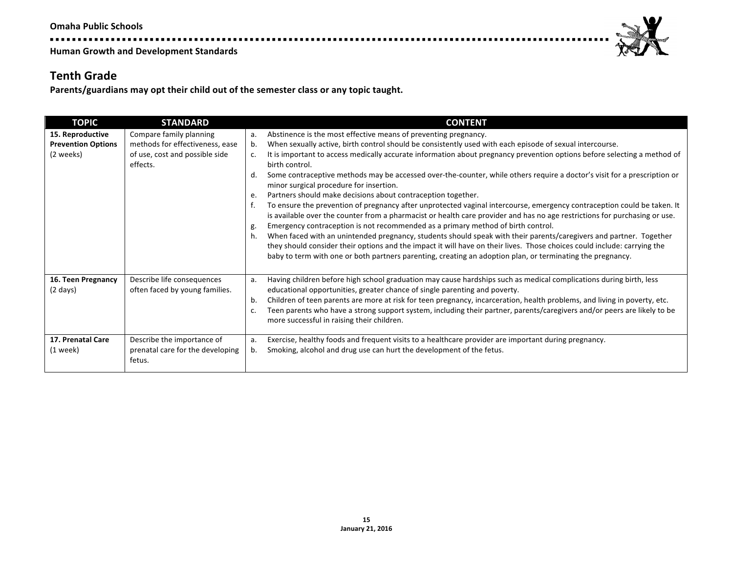. . . . . . . . . . . . . . . . . .

**Human Growth and Development Standards** 

#### **Tenth Grade**

Parents/guardians may opt their child out of the semester class or any topic taught.

| <b>TOPIC</b>                                               | <b>STANDARD</b>                                                                                          | <b>CONTENT</b>                                                                                                                                                                                                                                                                                                                                                                                                                                                                                                                                                                                                                                                                                                                                                                                                                                                                                                                                                                                                                                                                                                                                                                                                                                                                                                          |
|------------------------------------------------------------|----------------------------------------------------------------------------------------------------------|-------------------------------------------------------------------------------------------------------------------------------------------------------------------------------------------------------------------------------------------------------------------------------------------------------------------------------------------------------------------------------------------------------------------------------------------------------------------------------------------------------------------------------------------------------------------------------------------------------------------------------------------------------------------------------------------------------------------------------------------------------------------------------------------------------------------------------------------------------------------------------------------------------------------------------------------------------------------------------------------------------------------------------------------------------------------------------------------------------------------------------------------------------------------------------------------------------------------------------------------------------------------------------------------------------------------------|
| 15. Reproductive<br><b>Prevention Options</b><br>(2 weeks) | Compare family planning<br>methods for effectiveness, ease<br>of use, cost and possible side<br>effects. | Abstinence is the most effective means of preventing pregnancy.<br>a.<br>When sexually active, birth control should be consistently used with each episode of sexual intercourse.<br>b.<br>It is important to access medically accurate information about pregnancy prevention options before selecting a method of<br>c.<br>birth control.<br>Some contraceptive methods may be accessed over-the-counter, while others require a doctor's visit for a prescription or<br>d.<br>minor surgical procedure for insertion.<br>Partners should make decisions about contraception together.<br>e.<br>To ensure the prevention of pregnancy after unprotected vaginal intercourse, emergency contraception could be taken. It<br>is available over the counter from a pharmacist or health care provider and has no age restrictions for purchasing or use.<br>Emergency contraception is not recommended as a primary method of birth control.<br>g.<br>When faced with an unintended pregnancy, students should speak with their parents/caregivers and partner. Together<br>h.<br>they should consider their options and the impact it will have on their lives. Those choices could include: carrying the<br>baby to term with one or both partners parenting, creating an adoption plan, or terminating the pregnancy. |
| 16. Teen Pregnancy<br>$(2 \text{ days})$                   | Describe life consequences<br>often faced by young families.                                             | Having children before high school graduation may cause hardships such as medical complications during birth, less<br>a.<br>educational opportunities, greater chance of single parenting and poverty.<br>Children of teen parents are more at risk for teen pregnancy, incarceration, health problems, and living in poverty, etc.<br>b.<br>Teen parents who have a strong support system, including their partner, parents/caregivers and/or peers are likely to be<br>c.<br>more successful in raising their children.                                                                                                                                                                                                                                                                                                                                                                                                                                                                                                                                                                                                                                                                                                                                                                                               |
| 17. Prenatal Care<br>$(1$ week)                            | Describe the importance of<br>prenatal care for the developing<br>fetus.                                 | Exercise, healthy foods and frequent visits to a healthcare provider are important during pregnancy.<br>а.<br>Smoking, alcohol and drug use can hurt the development of the fetus.<br>b.                                                                                                                                                                                                                                                                                                                                                                                                                                                                                                                                                                                                                                                                                                                                                                                                                                                                                                                                                                                                                                                                                                                                |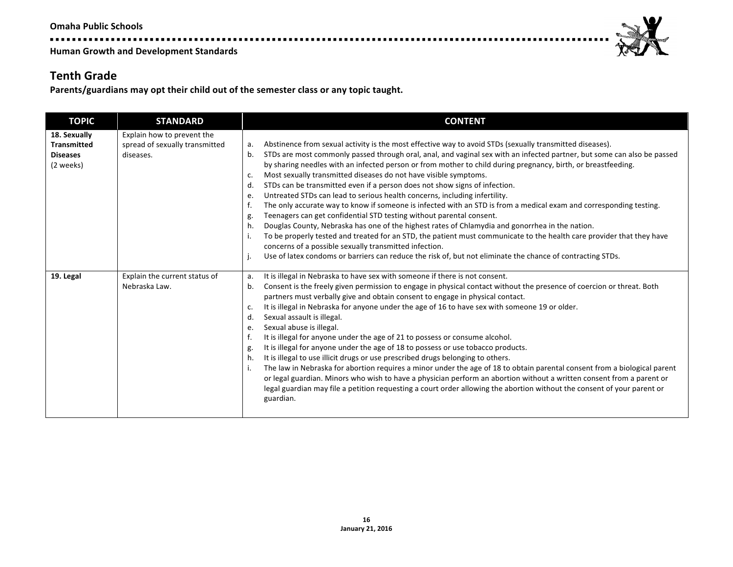---------------

**Human Growth and Development Standards** 

### **Tenth Grade**

Parents/guardians may opt their child out of the semester class or any topic taught.

| <b>TOPIC</b>                                                       | <b>STANDARD</b>                                                           | <b>CONTENT</b>                                                                                                                                                                                                                                                                                                                                                                                                                                                                                                                                                                                                                                                                                                                                                                                                                                                                                                                                                                                                                                                                                                                                                                                                                         |
|--------------------------------------------------------------------|---------------------------------------------------------------------------|----------------------------------------------------------------------------------------------------------------------------------------------------------------------------------------------------------------------------------------------------------------------------------------------------------------------------------------------------------------------------------------------------------------------------------------------------------------------------------------------------------------------------------------------------------------------------------------------------------------------------------------------------------------------------------------------------------------------------------------------------------------------------------------------------------------------------------------------------------------------------------------------------------------------------------------------------------------------------------------------------------------------------------------------------------------------------------------------------------------------------------------------------------------------------------------------------------------------------------------|
| 18. Sexually<br><b>Transmitted</b><br><b>Diseases</b><br>(2 weeks) | Explain how to prevent the<br>spread of sexually transmitted<br>diseases. | Abstinence from sexual activity is the most effective way to avoid STDs (sexually transmitted diseases).<br>а.<br>STDs are most commonly passed through oral, anal, and vaginal sex with an infected partner, but some can also be passed<br>b.<br>by sharing needles with an infected person or from mother to child during pregnancy, birth, or breastfeeding.<br>Most sexually transmitted diseases do not have visible symptoms.<br>c.<br>STDs can be transmitted even if a person does not show signs of infection.<br>d.<br>Untreated STDs can lead to serious health concerns, including infertility.<br>e.<br>The only accurate way to know if someone is infected with an STD is from a medical exam and corresponding testing.<br>Teenagers can get confidential STD testing without parental consent.<br>g.<br>Douglas County, Nebraska has one of the highest rates of Chlamydia and gonorrhea in the nation.<br>h.<br>To be properly tested and treated for an STD, the patient must communicate to the health care provider that they have<br>i.<br>concerns of a possible sexually transmitted infection.<br>Use of latex condoms or barriers can reduce the risk of, but not eliminate the chance of contracting STDs. |
| 19. Legal                                                          | Explain the current status of<br>Nebraska Law.                            | It is illegal in Nebraska to have sex with someone if there is not consent.<br>a.<br>Consent is the freely given permission to engage in physical contact without the presence of coercion or threat. Both<br>b.<br>partners must verbally give and obtain consent to engage in physical contact.<br>It is illegal in Nebraska for anyone under the age of 16 to have sex with someone 19 or older.<br>c.<br>Sexual assault is illegal.<br>d.<br>Sexual abuse is illegal.<br>e.<br>It is illegal for anyone under the age of 21 to possess or consume alcohol.<br>It is illegal for anyone under the age of 18 to possess or use tobacco products.<br>g.<br>It is illegal to use illicit drugs or use prescribed drugs belonging to others.<br>h.<br>The law in Nebraska for abortion requires a minor under the age of 18 to obtain parental consent from a biological parent<br>i.<br>or legal guardian. Minors who wish to have a physician perform an abortion without a written consent from a parent or<br>legal guardian may file a petition requesting a court order allowing the abortion without the consent of your parent or<br>guardian.                                                                                  |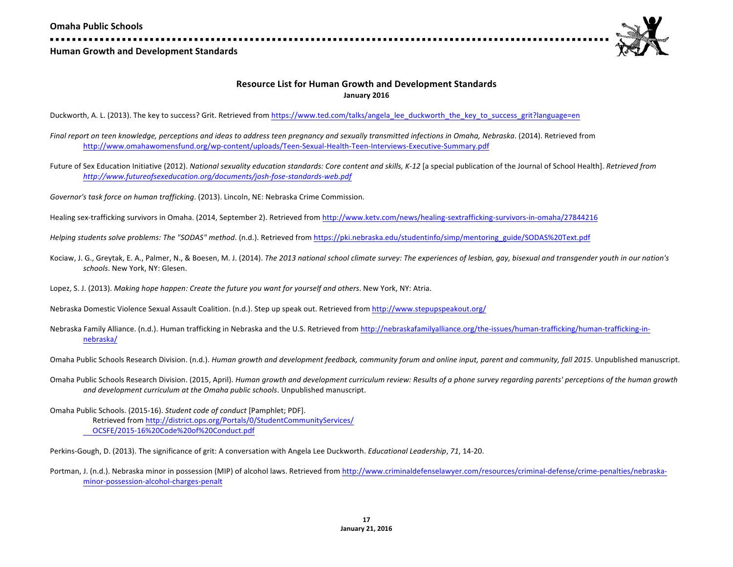

#### **Resource List for Human Growth and Development Standards January 2016**

Duckworth, A. L. (2013). The key to success? Grit. Retrieved from https://www.ted.com/talks/angela\_lee\_duckworth\_the\_key\_to\_success\_grit?language=en

- Final report on teen knowledge, perceptions and ideas to address teen pregnancy and sexually transmitted infections in Omaha, Nebraska. (2014). Retrieved from http://www.omahawomensfund.org/wp-content/uploads/Teen-Sexual-Health-Teen-Interviews-Executive-Summary.pdf
- Future of Sex Education Initiative (2012). *National sexuality education standards: Core content and skills, K-12* [a special publication of the Journal of School Health]. *Retrieved from http://www.futureofsexeducation.org/documents/josh-fose-standards-web.pdf*

Governor's task force on human trafficking. (2013). Lincoln, NE: Nebraska Crime Commission.

Healing sex-trafficking survivors in Omaha. (2014, September 2). Retrieved from http://www.ketv.com/news/healing-sextrafficking-survivors-in-omaha/27844216

- Helping students solve problems: The "SODAS" method. (n.d.). Retrieved from https://pki.nebraska.edu/studentinfo/simp/mentoring\_guide/SODAS%20Text.pdf
- Kociaw, J. G., Greytak, E. A., Palmer, N., & Boesen, M. J. (2014). *The 2013 national school climate survey: The experiences of lesbian, gay, bisexual and transgender youth in our nation's schools*. New York, NY: Glesen.
- Lopez, S. J. (2013). *Making hope happen: Create the future you want for yourself and others*. New York, NY: Atria.

Nebraska Domestic Violence Sexual Assault Coalition. (n.d.). Step up speak out. Retrieved from http://www.stepupspeakout.org/

Nebraska Family Alliance. (n.d.). Human trafficking in Nebraska and the U.S. Retrieved from http://nebraskafamilyalliance.org/the-issues/human-trafficking/human-trafficking-innebraska/

Omaha Public Schools Research Division. (n.d.). *Human growth and development feedback, community forum and online input, parent and community, fall 2015. Unpublished manuscript.* 

Omaha Public Schools Research Division. (2015, April). Human growth and development curriculum review: Results of a phone survey regarding parents' perceptions of the human growth and development curriculum at the Omaha public schools. Unpublished manuscript.

Omaha Public Schools. (2015-16). *Student code of conduct* [Pamphlet; PDF]. Retrieved from http://district.ops.org/Portals/0/StudentCommunityServices/ OCSFE/2015-16%20Code%20of%20Conduct.pdf

Perkins-Gough, D. (2013). The significance of grit: A conversation with Angela Lee Duckworth. *Educational Leadership*, 71, 14-20.

Portman, J. (n.d.). Nebraska minor in possession (MIP) of alcohol laws. Retrieved from http://www.criminaldefenselawyer.com/resources/criminal-defense/crime-penalties/nebraskaminor-possession-alcohol-charges-penalt